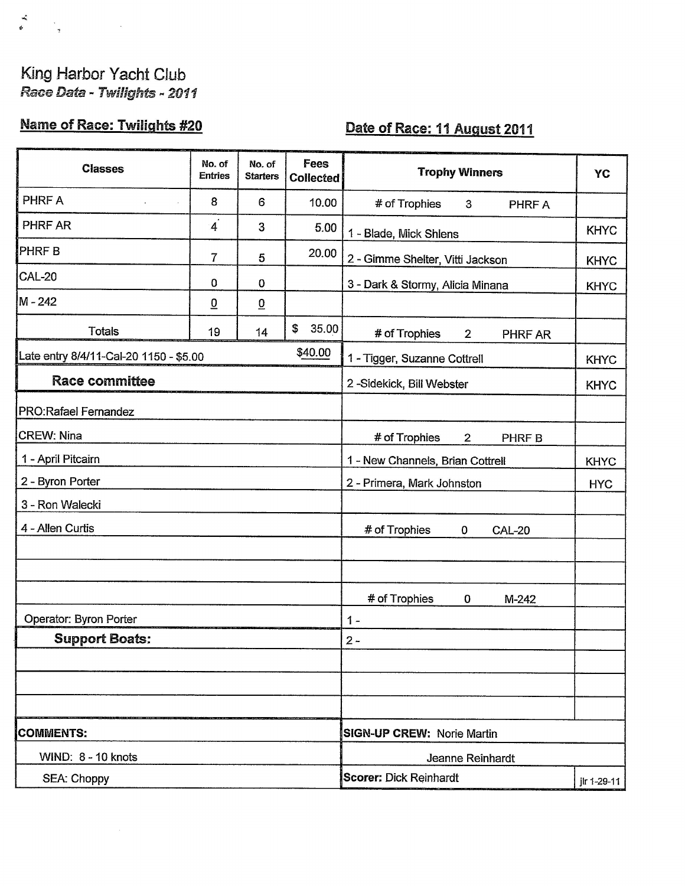## King Harbor Yacht Club Race Data - Twilights - 2011

 $\begin{array}{c} \frac{\partial}{\partial t} & \ddots \\ \theta & \theta & \theta \\ \end{array} \hspace{0.5cm} \begin{array}{c} \frac{\partial}{\partial t} & \ddots \\ \frac{\partial}{\partial t} & \ddots \\ \end{array}$ 

## **Name of Race: Twilights #20**

 $\lambda$ 

## Date of Race: 11 August 2011

| <b>Classes</b>                         | No. of<br><b>Entries</b> | No. of<br><b>Starters</b> | Fees<br>Collected | <b>Trophy Winners</b>                      | <b>YC</b>   |
|----------------------------------------|--------------------------|---------------------------|-------------------|--------------------------------------------|-------------|
| PHRF A                                 | 8                        | 6                         | 10.00             | # of Trophies<br>$\mathbf{3}$<br>PHRF A    |             |
| PHRF AR                                | $\overline{4}$           | 3                         | 5.00              | 1 - Blade, Mick Shlens                     | <b>KHYC</b> |
| <b>PHRFB</b>                           | 7                        | 5                         | 20.00             | 2 - Gimme Shelter, Vitti Jackson           | <b>KHYC</b> |
| <b>CAL-20</b>                          | $\mathbf 0$              | 0                         |                   | 3 - Dark & Stormy, Alicia Minana           | <b>KHYC</b> |
| M - 242                                | $\overline{0}$           | $\overline{0}$            |                   |                                            |             |
| <b>Totals</b>                          | 19                       | 14                        | \$<br>35.00       | # of Trophies<br>PHRF AR<br>$\overline{2}$ |             |
| Late entry 8/4/11-Cal-20 1150 - \$5.00 |                          |                           | \$40.00           | 1 - Tigger, Suzanne Cottrell               | <b>KHYC</b> |
| <b>Race committee</b>                  |                          |                           |                   | 2-Sidekick, Bill Webster                   | <b>KHYC</b> |
| PRO: Rafael Fernandez                  |                          |                           |                   |                                            |             |
| <b>CREW: Nina</b>                      |                          |                           |                   | # of Trophies<br>$\overline{2}$<br>PHRF B  |             |
| 1 - April Pitcairn                     |                          |                           |                   | 1 - New Channels, Brian Cottrell           | <b>KHYC</b> |
| 2 - Byron Porter                       |                          |                           |                   | 2 - Primera, Mark Johnston                 | <b>HYC</b>  |
| 3 - Ron Walecki                        |                          |                           |                   |                                            |             |
| 4 - Allen Curtis                       |                          |                           |                   | # of Trophies<br>0<br><b>CAL-20</b>        |             |
|                                        |                          |                           |                   |                                            |             |
|                                        |                          |                           |                   |                                            |             |
|                                        |                          |                           |                   | # of Trophies<br>$\mathbf 0$<br>M-242      |             |
| Operator: Byron Porter                 |                          |                           |                   | $1 -$                                      |             |
| <b>Support Boats:</b>                  |                          |                           |                   | $2 -$                                      |             |
|                                        |                          |                           |                   |                                            |             |
|                                        |                          |                           |                   |                                            |             |
|                                        |                          |                           |                   |                                            |             |
| <b>COMMENTS:</b>                       |                          |                           |                   | <b>SIGN-UP CREW: Norie Martin</b>          |             |
| WIND: 8 - 10 knots                     |                          |                           |                   | Jeanne Reinhardt                           |             |
| SEA: Choppy                            |                          |                           |                   | Scorer: Dick Reinhardt                     | jlr 1-29-11 |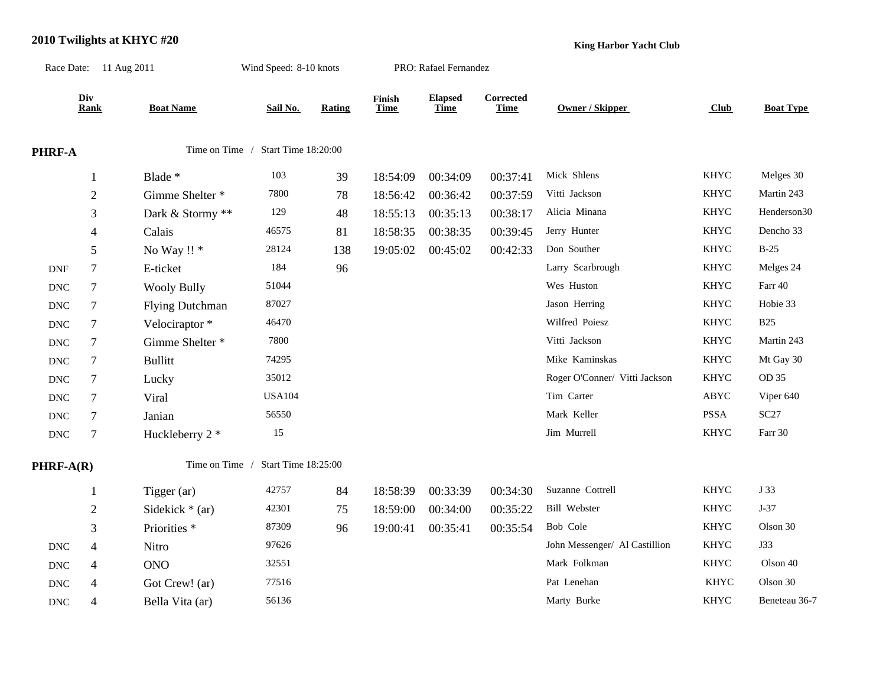## **2010 Twilights at KHYC #20**

**King Harbor Yacht Club**

|                             | Race Date: 11 Aug 2011 |                                    | Wind Speed: 8-10 knots |        |                       | PRO: Rafael Fernandez         |                          |                               |              |                  |
|-----------------------------|------------------------|------------------------------------|------------------------|--------|-----------------------|-------------------------------|--------------------------|-------------------------------|--------------|------------------|
|                             | Div<br><b>Rank</b>     | <b>Boat Name</b>                   | Sail No.               | Rating | Finish<br><b>Time</b> | <b>Elapsed</b><br><b>Time</b> | Corrected<br><b>Time</b> | Owner / Skipper               | Club         | <b>Boat Type</b> |
| PHRF-A                      |                        | Time on Time / Start Time 18:20:00 |                        |        |                       |                               |                          |                               |              |                  |
|                             | $\mathbf{1}$           | Blade *                            | 103                    | 39     | 18:54:09              | 00:34:09                      | 00:37:41                 | Mick Shlens                   | <b>KHYC</b>  | Melges 30        |
|                             | $\sqrt{2}$             | Gimme Shelter *                    | 7800                   | 78     | 18:56:42              | 00:36:42                      | 00:37:59                 | Vitti Jackson                 | <b>KHYC</b>  | Martin 243       |
|                             | 3                      | Dark & Stormy **                   | 129                    | 48     | 18:55:13              | 00:35:13                      | 00:38:17                 | Alicia Minana                 | <b>KHYC</b>  | Henderson30      |
|                             | 4                      | Calais                             | 46575                  | 81     | 18:58:35              | 00:38:35                      | 00:39:45                 | Jerry Hunter                  | <b>KHYC</b>  | Dencho 33        |
|                             | $\mathfrak s$          | No Way !! *                        | 28124                  | 138    | 19:05:02              | 00:45:02                      | 00:42:33                 | Don Souther                   | <b>KHYC</b>  | $B-25$           |
| <b>DNF</b>                  | $\tau$                 | E-ticket                           | 184                    | 96     |                       |                               |                          | Larry Scarbrough              | <b>KHYC</b>  | Melges 24        |
| <b>DNC</b>                  | $\tau$                 | <b>Wooly Bully</b>                 | 51044                  |        |                       |                               |                          | Wes Huston                    | <b>KHYC</b>  | Farr 40          |
| <b>DNC</b>                  | $\tau$                 | <b>Flying Dutchman</b>             | 87027                  |        |                       |                               |                          | Jason Herring                 | <b>KHYC</b>  | Hobie 33         |
| $\operatorname{DNC}$        | $\tau$                 | Velociraptor*                      | 46470                  |        |                       |                               |                          | Wilfred Poiesz                | <b>KHYC</b>  | <b>B25</b>       |
| $\operatorname{DNC}$        | $\tau$                 | Gimme Shelter *                    | 7800                   |        |                       |                               |                          | Vitti Jackson                 | <b>KHYC</b>  | Martin 243       |
| <b>DNC</b>                  | $\tau$                 | <b>Bullitt</b>                     | 74295                  |        |                       |                               |                          | Mike Kaminskas                | <b>KHYC</b>  | Mt Gay 30        |
| $\operatorname{DNC}$        | $\tau$                 | Lucky                              | 35012                  |        |                       |                               |                          | Roger O'Conner/ Vitti Jackson | <b>KHYC</b>  | OD 35            |
| $\operatorname{DNC}$        | 7                      | Viral                              | <b>USA104</b>          |        |                       |                               |                          | Tim Carter                    | ${\rm ABYC}$ | Viper 640        |
| $\operatorname{DNC}$        | $\tau$                 | Janian                             | 56550                  |        |                       |                               |                          | Mark Keller                   | PSSA         | $\sc{SC27}$      |
| $\operatorname{DNC}$        | 7                      | Huckleberry 2 *                    | 15                     |        |                       |                               |                          | Jim Murrell                   | <b>KHYC</b>  | Farr 30          |
| PHRF-A(R)                   |                        | Time on Time /                     | Start Time 18:25:00    |        |                       |                               |                          |                               |              |                  |
|                             | $\mathbf{1}$           | Tigger (ar)                        | 42757                  | 84     | 18:58:39              | 00:33:39                      | 00:34:30                 | Suzanne Cottrell              | <b>KHYC</b>  | J 33             |
|                             | $\overline{c}$         | Sidekick $*$ (ar)                  | 42301                  | 75     | 18:59:00              | 00:34:00                      | 00:35:22                 | <b>Bill Webster</b>           | <b>KHYC</b>  | $J-37$           |
|                             | $\mathfrak{Z}$         | Priorities *                       | 87309                  | 96     | 19:00:41              | 00:35:41                      | 00:35:54                 | Bob Cole                      | <b>KHYC</b>  | Olson 30         |
| $\operatorname{DNC}$        | $\overline{4}$         | Nitro                              | 97626                  |        |                       |                               |                          | John Messenger/ Al Castillion | <b>KHYC</b>  | <b>J33</b>       |
| $\operatorname{DNC}$        | $\overline{4}$         | <b>ONO</b>                         | 32551                  |        |                       |                               |                          | Mark Folkman                  | <b>KHYC</b>  | Olson 40         |
| <b>DNC</b>                  | 4                      | Got Crew! (ar)                     | 77516                  |        |                       |                               |                          | Pat Lenehan                   | <b>KHYC</b>  | Olson 30         |
| $\mathop{\rm DNC}\nolimits$ | $\overline{4}$         | Bella Vita (ar)                    | 56136                  |        |                       |                               |                          | Marty Burke                   | <b>KHYC</b>  | Beneteau 36-7    |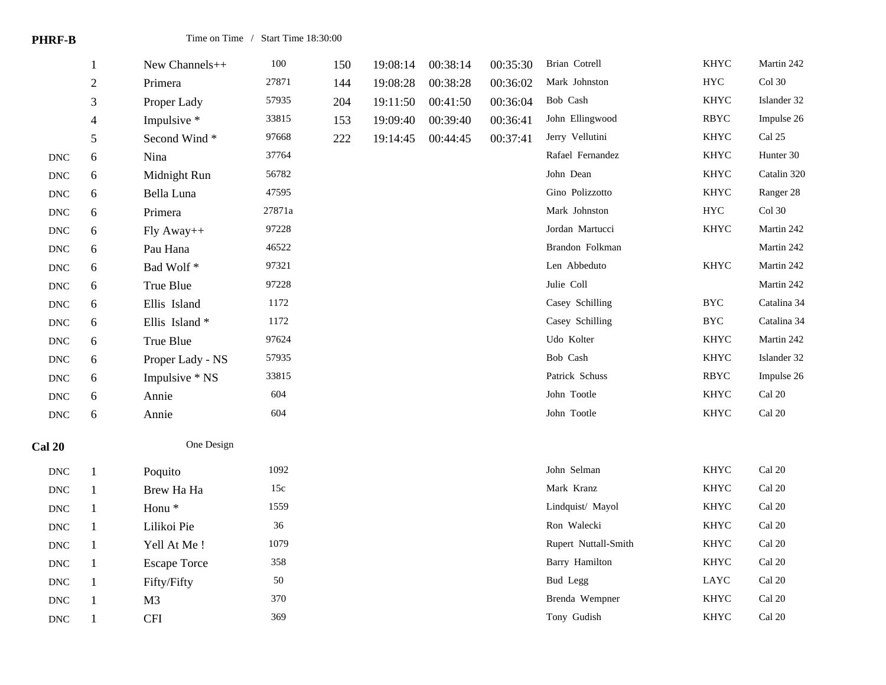|                      | $\mathbf{1}$   | New Channels++      | $100\,$ | 150 | 19:08:14 | 00:38:14 | 00:35:30 | Brian Cotrell         | <b>KHYC</b>       | Martin 242              |
|----------------------|----------------|---------------------|---------|-----|----------|----------|----------|-----------------------|-------------------|-------------------------|
|                      | $\sqrt{2}$     | Primera             | 27871   | 144 | 19:08:28 | 00:38:28 | 00:36:02 | Mark Johnston         | <b>HYC</b>        | Col 30                  |
|                      | $\mathfrak{Z}$ | Proper Lady         | 57935   | 204 | 19:11:50 | 00:41:50 | 00:36:04 | Bob Cash              | KHYC              | Islander 32             |
|                      | $\overline{4}$ | Impulsive *         | 33815   | 153 | 19:09:40 | 00:39:40 | 00:36:41 | John Ellingwood       | <b>RBYC</b>       | Impulse 26              |
|                      | 5              | Second Wind*        | 97668   | 222 | 19:14:45 | 00:44:45 | 00:37:41 | Jerry Vellutini       | <b>KHYC</b>       | Cal 25                  |
| $\operatorname{DNC}$ | $6\,$          | Nina                | 37764   |     |          |          |          | Rafael Fernandez      | <b>KHYC</b>       | Hunter 30               |
| $\operatorname{DNC}$ | $6\,$          | Midnight Run        | 56782   |     |          |          |          | John Dean             | <b>KHYC</b>       | Catalin 320             |
| $\operatorname{DNC}$ | $6\,$          | Bella Luna          | 47595   |     |          |          |          | Gino Polizzotto       | KHYC              | Ranger 28               |
| $\operatorname{DNC}$ | 6              | Primera             | 27871a  |     |          |          |          | Mark Johnston         | ${\rm HYC}$       | Col 30                  |
| $\operatorname{DNC}$ | $6\,$          | Fly Away++          | 97228   |     |          |          |          | Jordan Martucci       | <b>KHYC</b>       | Martin 242              |
| <b>DNC</b>           | 6              | Pau Hana            | 46522   |     |          |          |          | Brandon Folkman       |                   | Martin 242              |
| $\operatorname{DNC}$ | $6\,$          | Bad Wolf*           | 97321   |     |          |          |          | Len Abbeduto          | <b>KHYC</b>       | Martin 242              |
| $\operatorname{DNC}$ | $6\,$          | True Blue           | 97228   |     |          |          |          | Julie Coll            |                   | Martin 242              |
| <b>DNC</b>           | 6              | Ellis Island        | 1172    |     |          |          |          | Casey Schilling       | <b>BYC</b>        | Catalina 34             |
| $\operatorname{DNC}$ | $6\,$          | Ellis Island*       | 1172    |     |          |          |          | Casey Schilling       | $_{\mathrm{BYC}}$ | Catalina 34             |
| $\operatorname{DNC}$ | $6\,$          | True Blue           | 97624   |     |          |          |          | Udo Kolter            | KHYC              | Martin 242              |
| $\operatorname{DNC}$ | 6              | Proper Lady - NS    | 57935   |     |          |          |          | Bob Cash              | <b>KHYC</b>       | Islander 32             |
| $\operatorname{DNC}$ | $6\,$          | Impulsive * NS      | 33815   |     |          |          |          | Patrick Schuss        | <b>RBYC</b>       | Impulse 26              |
| $\operatorname{DNC}$ | $6\,$          | Annie               | 604     |     |          |          |          | John Tootle           | <b>KHYC</b>       | Cal 20                  |
| $\operatorname{DNC}$ | 6              | Annie               | 604     |     |          |          |          | John Tootle           | KHYC              | $\operatorname{Cal}$ 20 |
| <b>Cal 20</b>        |                | One Design          |         |     |          |          |          |                       |                   |                         |
| $\operatorname{DNC}$ | $\mathbf{1}$   | Poquito             | 1092    |     |          |          |          | John Selman           | <b>KHYC</b>       | Cal 20                  |
| $\operatorname{DNC}$ | $\mathbf{1}$   | Brew Ha Ha          | 15c     |     |          |          |          | Mark Kranz            | <b>KHYC</b>       | Cal 20                  |
| $\operatorname{DNC}$ | $\mathbf{1}$   | Honu <sup>*</sup>   | 1559    |     |          |          |          | Lindquist/ Mayol      | <b>KHYC</b>       | Cal 20                  |
| $\operatorname{DNC}$ | $\mathbf{1}$   | Lilikoi Pie         | 36      |     |          |          |          | Ron Walecki           | <b>KHYC</b>       | Cal 20                  |
| $\operatorname{DNC}$ | $\mathbf{1}$   | Yell At Me!         | 1079    |     |          |          |          | Rupert Nuttall-Smith  | KHYC              | $Cal$ 20                |
| $\operatorname{DNC}$ | $\mathbf{1}$   | <b>Escape Torce</b> | 358     |     |          |          |          | <b>Barry Hamilton</b> | <b>KHYC</b>       | Cal 20                  |
| $\operatorname{DNC}$ | 1              | Fifty/Fifty         | $50\,$  |     |          |          |          | Bud Legg              | LAYC              | Cal 20                  |
| $\operatorname{DNC}$ |                | M <sub>3</sub>      | 370     |     |          |          |          | Brenda Wempner        | <b>KHYC</b>       | Cal 20                  |
| <b>DNC</b>           |                | <b>CFI</b>          | 369     |     |          |          |          | Tony Gudish           | <b>KHYC</b>       | $\operatorname{Cal}$ 20 |